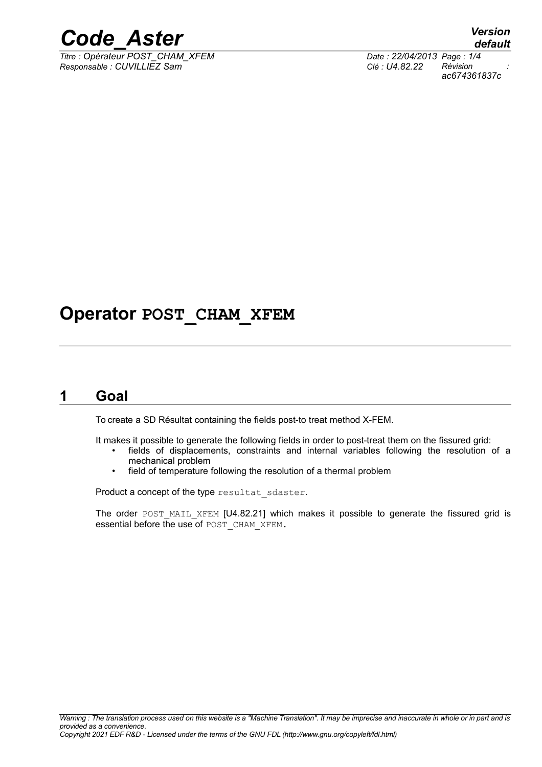

 $\overline{T}$ itre : Opérateur POST\_CHAM\_XFEM *Responsable : CUVILLIEZ Sam Clé : U4.82.22 Révision :*

*default ac674361837c*

### **Operator POST\_CHAM\_XFEM**

#### **1 Goal**

To create a SD Résultat containing the fields post-to treat method X-FEM.

It makes it possible to generate the following fields in order to post-treat them on the fissured grid:

- fields of displacements, constraints and internal variables following the resolution of a mechanical problem
- field of temperature following the resolution of a thermal problem

Product a concept of the type resultat sdaster.

The order POST MAIL XFEM [U4.82.21] which makes it possible to generate the fissured grid is essential before the use of POST\_CHAM\_XFEM.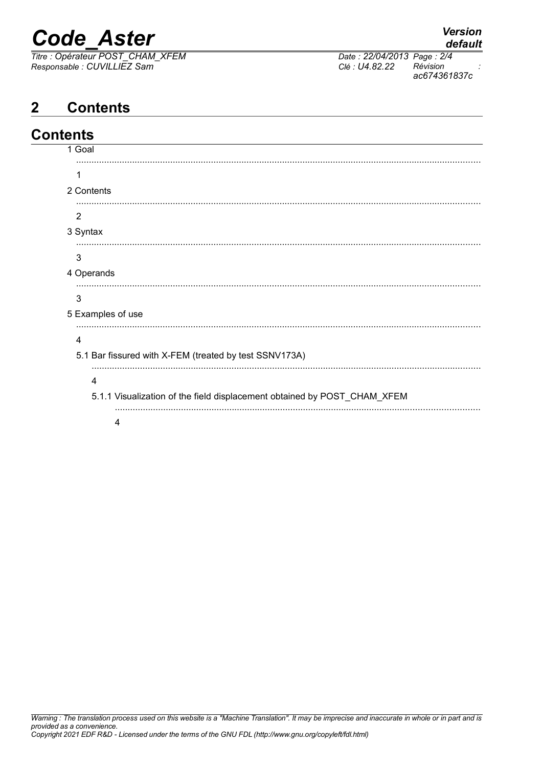## *Code\_Aster Version*

*Titre : Opérateur POST\_CHAM\_XFEM Date : 22/04/2013 Page : 2/4 Responsable : CUVILLIEZ Sam Clé : U4.82.22 Révision :*

*ac674361837c*

### **2 Contents**

| <b>Contents</b> |                                                                          |
|-----------------|--------------------------------------------------------------------------|
|                 | 1 Goal                                                                   |
|                 | 1                                                                        |
|                 | 2 Contents                                                               |
|                 |                                                                          |
|                 | $\overline{2}$                                                           |
|                 | 3 Syntax                                                                 |
|                 | 3                                                                        |
|                 | 4 Operands                                                               |
|                 |                                                                          |
|                 | 3                                                                        |
|                 | 5 Examples of use                                                        |
|                 | 4                                                                        |
|                 | 5.1 Bar fissured with X-FEM (treated by test SSNV173A)                   |
|                 | 4                                                                        |
|                 | 5.1.1 Visualization of the field displacement obtained by POST_CHAM_XFEM |
|                 |                                                                          |
|                 | 4                                                                        |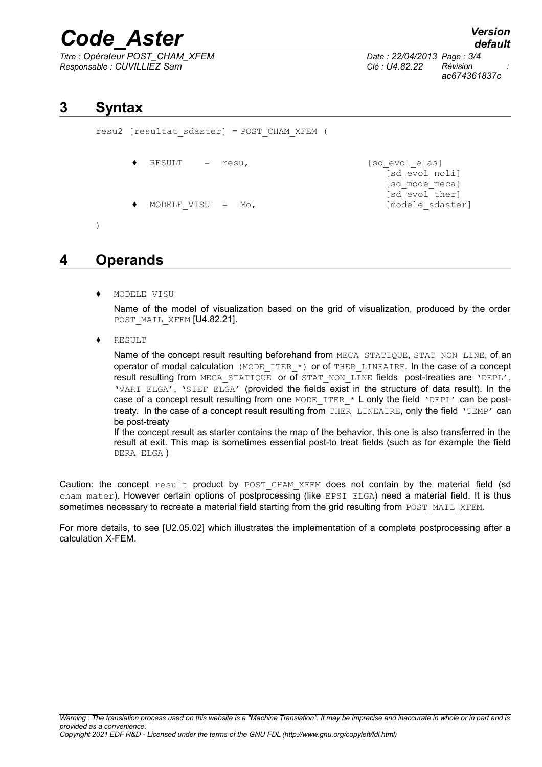## *Code\_Aster Version*

*Titre : Opérateur POST\_CHAM\_XFEM Date : 22/04/2013 Page : 3/4 Responsable : CUVILLIEZ Sam Clé : U4.82.22 Révision :*

*default ac674361837c*

[sd\_evol\_noli] [sd\_mode\_meca] [sd<sup>\_</sup>evol\_ther]

#### **3 Syntax**

resu2 [resultat\_sdaster] = POST\_CHAM\_XFEM (

- RESULT = resu, [sd evol elas]
- MODELE VISU = Mo,  $[mode]$

)

#### **4 Operands**

♦ MODELE\_VISU

Name of the model of visualization based on the grid of visualization, produced by the order POST MAIL XFEM [U4.82.21].

**RESULT** 

Name of the concept result resulting beforehand from MECA\_STATIQUE, STAT\_NON\_LINE, of an operator of modal calculation (MODE ITER \*) or of THER LINEAIRE. In the case of a concept result resulting from MECA STATIQUE or of STAT NON LINE fields post-treaties are 'DEPL', 'VARI\_ELGA', 'SIEF\_ELGA' (provided the fields exist in the structure of data result). In the case of a concept result resulting from one MODE ITER \* L only the field 'DEPL' can be posttreaty. In the case of a concept result resulting from THER LINEAIRE, only the field 'TEMP' can be post-treaty

If the concept result as starter contains the map of the behavior, this one is also transferred in the result at exit. This map is sometimes essential post-to treat fields (such as for example the field DERA\_ELGA )

Caution: the concept result product by POST CHAM XFEM does not contain by the material field (sd cham mater). However certain options of postprocessing (like EPSI ELGA) need a material field. It is thus sometimes necessary to recreate a material field starting from the grid resulting from POST\_MAIL\_XFEM.

For more details, to see [U2.05.02] which illustrates the implementation of a complete postprocessing after a calculation X-FEM.